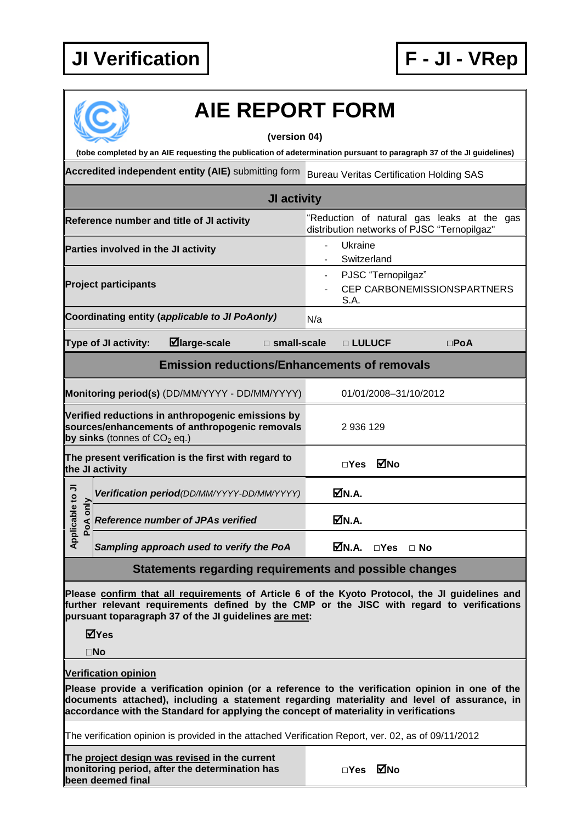## **JI Verification F - JI - VRep**



# **AIE REPORT FORM**

**(version 04)**

**(tobe completed by an AIE requesting the publication of adetermination pursuant to paragraph 37 of the JI guidelines)**

Accredited independent entity (AIE) submitting form Bureau Veritas Certification Holding SAS

| JI activity                                                                                                                           |  |                                                |  |          |                                                                                           |  |               |  |  |  |
|---------------------------------------------------------------------------------------------------------------------------------------|--|------------------------------------------------|--|----------|-------------------------------------------------------------------------------------------|--|---------------|--|--|--|
| Reference number and title of JI activity                                                                                             |  |                                                |  |          | "Reduction of natural gas leaks at the gas<br>distribution networks of PJSC "Ternopilgaz" |  |               |  |  |  |
| Parties involved in the JI activity                                                                                                   |  |                                                |  |          | Ukraine<br>Switzerland                                                                    |  |               |  |  |  |
| <b>Project participants</b>                                                                                                           |  |                                                |  |          | PJSC "Ternopilgaz"<br>CEP CARBONEMISSIONSPARTNERS<br>S.A.                                 |  |               |  |  |  |
|                                                                                                                                       |  | Coordinating entity (applicable to JI PoAonly) |  | N/a      |                                                                                           |  |               |  |  |  |
| $\blacksquare$ large-scale $\blacksquare$ small-scale<br><b>Type of JI activity:</b>                                                  |  |                                                |  | □ LULUCF |                                                                                           |  | $\square$ PoA |  |  |  |
| <b>Emission reductions/Enhancements of removals</b>                                                                                   |  |                                                |  |          |                                                                                           |  |               |  |  |  |
| Monitoring period(s) (DD/MM/YYYY - DD/MM/YYYY)                                                                                        |  |                                                |  |          | 01/01/2008-31/10/2012                                                                     |  |               |  |  |  |
| Verified reductions in anthropogenic emissions by<br>sources/enhancements of anthropogenic removals<br>by sinks (tonnes of $CO2$ eq.) |  |                                                |  | 2936129  |                                                                                           |  |               |  |  |  |
| The present verification is the first with regard to<br>the JI activity                                                               |  |                                                |  |          | □Yes ØNo                                                                                  |  |               |  |  |  |
| $\overline{\phantom{1}}$                                                                                                              |  | Varification pariod/DD/MM/VVVV DD/MM/VVVVV     |  |          | ᅜᅠᅟ                                                                                       |  |               |  |  |  |

#### **Applicable to JI Positication period***(DD/MM/YYYY-DD/MM/YYYY)* **M.A.**<br> **Poperiod**<br> **Poderiod**<br> **Positical**<br> **Poderiod**<br> **Positical**  $\mathbf{S}$ **Applicable** *Reference number of JPAs verified* ■ N.A. **Sampling approach used to verify the PoA N.A.** □**Yes** □ **No**

### **Statements regarding requirements and possible changes**

**Please confirm that all requirements of Article 6 of the Kyoto Protocol, the JI guidelines and further relevant requirements defined by the CMP or the JISC with regard to verifications pursuant toparagraph 37 of the JI guidelines are met:**

**Yes**

**No**

#### **Verification opinion**

**Please provide a verification opinion (or a reference to the verification opinion in one of the documents attached), including a statement regarding materiality and level of assurance, in accordance with the Standard for applying the concept of materiality in verifications**

The verification opinion is provided in the attached Verification Report, ver. 02, as of 09/11/2012

**The project design was revised in the current monitoring period, after the determination has been deemed final**

| MNo |
|-----|
|     |